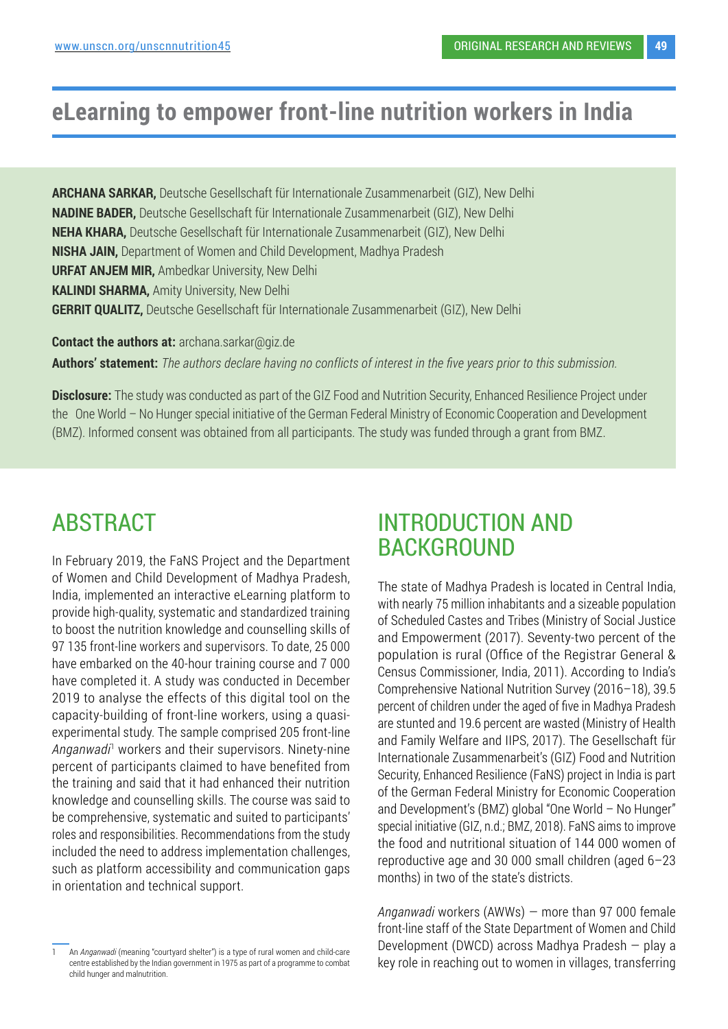# **eLearning to empower front-line nutrition workers in India**

**ARCHANA SARKAR,** Deutsche Gesellschaft für Internationale Zusammenarbeit (GIZ), New Delhi **NADINE BADER,** Deutsche Gesellschaft für Internationale Zusammenarbeit (GIZ), New Delhi **NEHA KHARA,** Deutsche Gesellschaft für Internationale Zusammenarbeit (GIZ), New Delhi **NISHA JAIN,** Department of Women and Child Development, Madhya Pradesh **URFAT ANJEM MIR,** Ambedkar University, New Delhi **KALINDI SHARMA,** Amity University, New Delhi **GERRIT QUALITZ,** Deutsche Gesellschaft für Internationale Zusammenarbeit (GIZ), New Delhi

**Contact the authors at: archana.sarkar@giz.de** 

**Authors' statement:** *The authors declare having no conflicts of interest in the five years prior to this submission.* 

**Disclosure:** The study was conducted as part of the GIZ Food and Nutrition Security, Enhanced Resilience Project under the One World – No Hunger special initiative of the German Federal Ministry of Economic Cooperation and Development (BMZ). Informed consent was obtained from all participants. The study was funded through a grant from BMZ.

# ABSTRACT

In February 2019, the FaNS Project and the Department of Women and Child Development of Madhya Pradesh, India, implemented an interactive eLearning platform to provide high-quality, systematic and standardized training to boost the nutrition knowledge and counselling skills of 97 135 front-line workers and supervisors. To date, 25 000 have embarked on the 40-hour training course and 7 000 have completed it. A study was conducted in December 2019 to analyse the effects of this digital tool on the capacity-building of front-line workers, using a quasiexperimental study. The sample comprised 205 front-line Anganwadi<sup>1</sup> workers and their supervisors. Ninety-nine percent of participants claimed to have benefited from the training and said that it had enhanced their nutrition knowledge and counselling skills. The course was said to be comprehensive, systematic and suited to participants' roles and responsibilities. Recommendations from the study included the need to address implementation challenges, such as platform accessibility and communication gaps in orientation and technical support.

## INTRODUCTION AND **BACKGROUND**

The state of Madhya Pradesh is located in Central India, with nearly 75 million inhabitants and a sizeable population of Scheduled Castes and Tribes (Ministry of Social Justice and Empowerment (2017). Seventy-two percent of the population is rural (Office of the Registrar General & Census Commissioner, India, 2011). According to India's Comprehensive National Nutrition Survey (2016–18), 39.5 percent of children under the aged of five in Madhya Pradesh are stunted and 19.6 percent are wasted (Ministry of Health and Family Welfare and IIPS, 2017). The Gesellschaft für Internationale Zusammenarbeit's (GIZ) Food and Nutrition Security, Enhanced Resilience (FaNS) project in India is part of the German Federal Ministry for Economic Cooperation and Development's (BMZ) global "One World – No Hunger" special initiative (GIZ, n.d.; BMZ, 2018). FaNS aims to improve the food and nutritional situation of 144 000 women of reproductive age and 30 000 small children (aged 6–23 months) in two of the state's districts.

*Anganwadi* workers (AWWs) — more than 97 000 female front-line staff of the State Department of Women and Child Development (DWCD) across Madhya Pradesh — play a key role in reaching out to women in villages, transferring

<sup>1</sup> An *Anganwadi* (meaning "courtyard shelter") is a type of rural women and child-care centre established by the Indian government in 1975 as part of a programme to combat child hunger and malnutrition.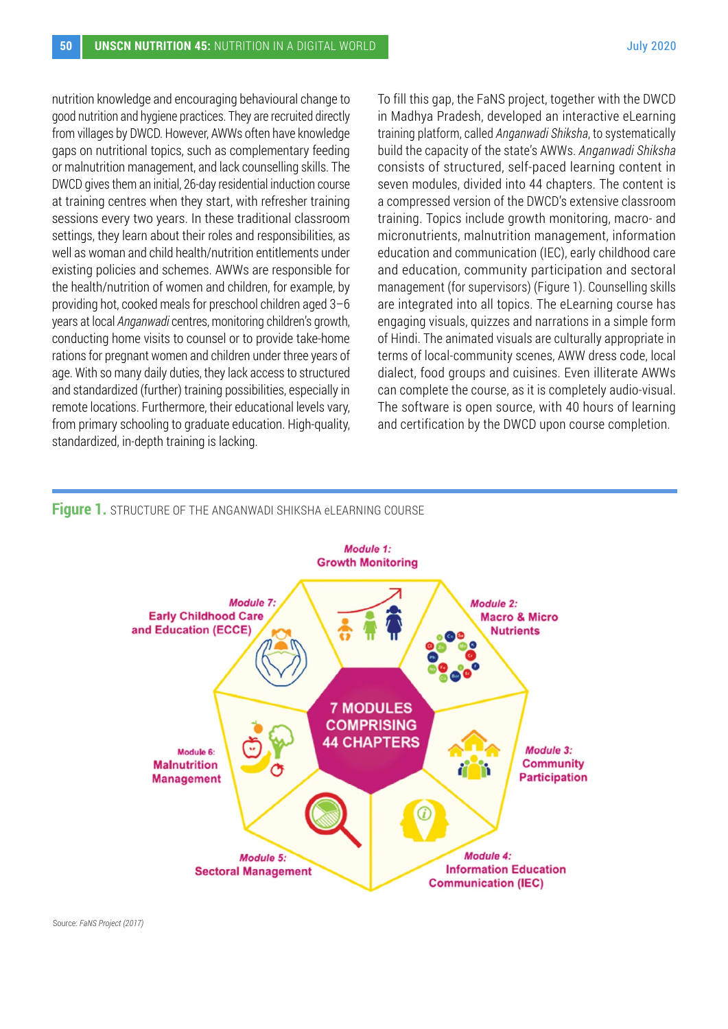nutrition knowledge and encouraging behavioural change to good nutrition and hygiene practices. They are recruited directly from villages by DWCD. However, AWWs often have knowledge gaps on nutritional topics, such as complementary feeding or malnutrition management, and lack counselling skills. The DWCD gives them an initial, 26-day residential induction course at training centres when they start, with refresher training sessions every two years. In these traditional classroom settings, they learn about their roles and responsibilities, as well as woman and child health/nutrition entitlements under existing policies and schemes. AWWs are responsible for the health/nutrition of women and children, for example, by providing hot, cooked meals for preschool children aged 3–6 years at local *Anganwadi* centres, monitoring children's growth, conducting home visits to counsel or to provide take-home rations for pregnant women and children under three years of age. With so many daily duties, they lack access to structured and standardized (further) training possibilities, especially in remote locations. Furthermore, their educational levels vary, from primary schooling to graduate education. High-quality, standardized, in-depth training is lacking.

To fill this gap, the FaNS project, together with the DWCD in Madhya Pradesh, developed an interactive eLearning training platform, called *Anganwadi Shiksha*, to systematically build the capacity of the state's AWWs. *Anganwadi Shiksha* consists of structured, self-paced learning content in seven modules, divided into 44 chapters. The content is a compressed version of the DWCD's extensive classroom training. Topics include growth monitoring, macro- and micronutrients, malnutrition management, information education and communication (IEC), early childhood care and education, community participation and sectoral management (for supervisors) (Figure 1). Counselling skills are integrated into all topics. The eLearning course has engaging visuals, quizzes and narrations in a simple form of Hindi. The animated visuals are culturally appropriate in terms of local-community scenes, AWW dress code, local dialect, food groups and cuisines. Even illiterate AWWs can complete the course, as it is completely audio-visual. The software is open source, with 40 hours of learning and certification by the DWCD upon course completion.

#### **Figure 1.** STRUCTURE OF THE ANGANWADI SHIKSHA eLEARNING COURSE

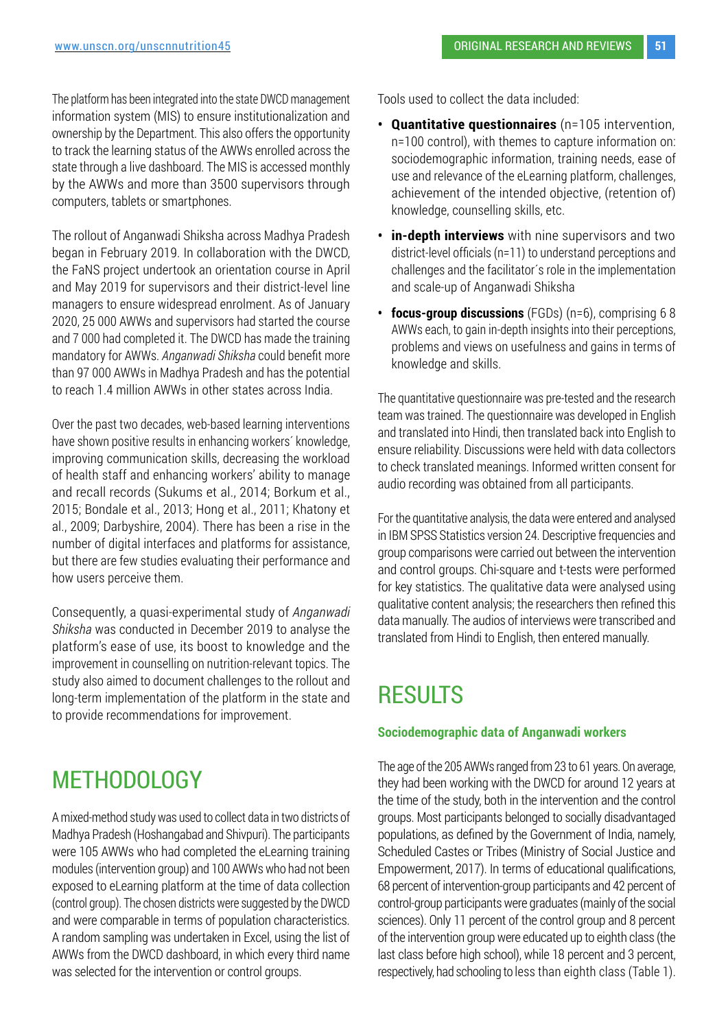The platform has been integrated into the state DWCD management information system (MIS) to ensure institutionalization and ownership by the Department. This also offers the opportunity to track the learning status of the AWWs enrolled across the state through a live dashboard. The MIS is accessed monthly by the AWWs and more than 3500 supervisors through computers, tablets or smartphones.

The rollout of Anganwadi Shiksha across Madhya Pradesh began in February 2019. In collaboration with the DWCD, the FaNS project undertook an orientation course in April and May 2019 for supervisors and their district-level line managers to ensure widespread enrolment. As of January 2020, 25 000 AWWs and supervisors had started the course and 7 000 had completed it. The DWCD has made the training mandatory for AWWs. *Anganwadi Shiksha* could benefit more than 97 000 AWWs in Madhya Pradesh and has the potential to reach 1.4 million AWWs in other states across India.

Over the past two decades, web-based learning interventions have shown positive results in enhancing workers´ knowledge, improving communication skills, decreasing the workload of health staff and enhancing workers' ability to manage and recall records (Sukums et al., 2014; Borkum et al., 2015; Bondale et al., 2013; Hong et al., 2011; Khatony et al., 2009; Darbyshire, 2004). There has been a rise in the number of digital interfaces and platforms for assistance, but there are few studies evaluating their performance and how users perceive them.

Consequently, a quasi-experimental study of *Anganwadi Shiksha* was conducted in December 2019 to analyse the platform's ease of use, its boost to knowledge and the improvement in counselling on nutrition-relevant topics. The study also aimed to document challenges to the rollout and long-term implementation of the platform in the state and to provide recommendations for improvement.

# METHODOLOGY

A mixed-method study was used to collect data in two districts of Madhya Pradesh (Hoshangabad and Shivpuri). The participants were 105 AWWs who had completed the eLearning training modules (intervention group) and 100 AWWs who had not been exposed to eLearning platform at the time of data collection (control group). The chosen districts were suggested by the DWCD and were comparable in terms of population characteristics. A random sampling was undertaken in Excel, using the list of AWWs from the DWCD dashboard, in which every third name was selected for the intervention or control groups.

Tools used to collect the data included:

- **• Quantitative questionnaires** (n=105 intervention, n=100 control), with themes to capture information on: sociodemographic information, training needs, ease of use and relevance of the eLearning platform, challenges, achievement of the intended objective, (retention of) knowledge, counselling skills, etc.
- **• in-depth interviews** with nine supervisors and two district-level officials (n=11) to understand perceptions and challenges and the facilitator´s role in the implementation and scale-up of Anganwadi Shiksha
- **• focus-group discussions** (FGDs) (n=6), comprising 6 8 AWWs each, to gain in-depth insights into their perceptions, problems and views on usefulness and gains in terms of knowledge and skills.

The quantitative questionnaire was pre-tested and the research team was trained. The questionnaire was developed in English and translated into Hindi, then translated back into English to ensure reliability. Discussions were held with data collectors to check translated meanings. Informed written consent for audio recording was obtained from all participants.

For the quantitative analysis, the data were entered and analysed in IBM SPSS Statistics version 24. Descriptive frequencies and group comparisons were carried out between the intervention and control groups. Chi-square and t-tests were performed for key statistics. The qualitative data were analysed using qualitative content analysis; the researchers then refined this data manually. The audios of interviews were transcribed and translated from Hindi to English, then entered manually.

# **RESULTS**

### **Sociodemographic data of Anganwadi workers**

The age of the 205 AWWs ranged from 23 to 61 years. On average, they had been working with the DWCD for around 12 years at the time of the study, both in the intervention and the control groups. Most participants belonged to socially disadvantaged populations, as defined by the Government of India, namely, Scheduled Castes or Tribes (Ministry of Social Justice and Empowerment, 2017). In terms of educational qualifications, 68 percent of intervention-group participants and 42 percent of control-group participants were graduates (mainly of the social sciences). Only 11 percent of the control group and 8 percent of the intervention group were educated up to eighth class (the last class before high school), while 18 percent and 3 percent, respectively, had schooling to less than eighth class (Table 1).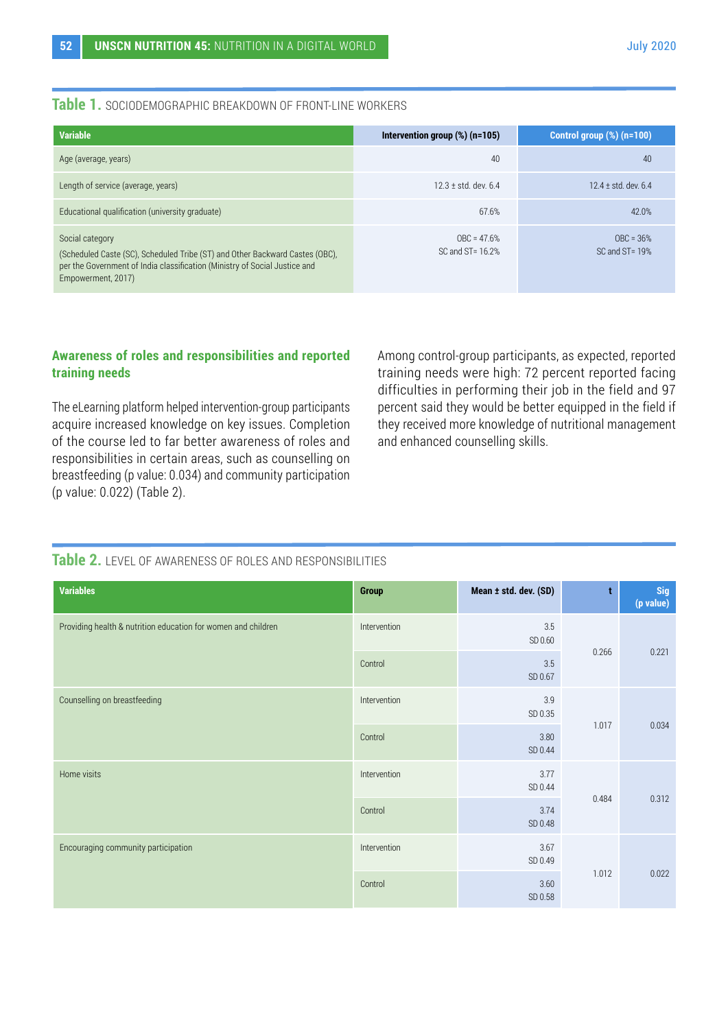## **Table 1.** SOCIODEMOGRAPHIC BREAKDOWN OF FRONT-LINE WORKERS

| <b>Variable</b>                                                                                                                                                                                     | Intervention group $(\%)$ (n=105)      | Control group $(\%)$ (n=100)       |
|-----------------------------------------------------------------------------------------------------------------------------------------------------------------------------------------------------|----------------------------------------|------------------------------------|
| Age (average, years)                                                                                                                                                                                | 40                                     | 40                                 |
| Length of service (average, years)                                                                                                                                                                  | $12.3 \pm$ std. dev. 6.4               | $12.4 \pm$ std. dev. 6.4           |
| Educational qualification (university graduate)                                                                                                                                                     | 67.6%                                  | 42.0%                              |
| Social category<br>(Scheduled Caste (SC), Scheduled Tribe (ST) and Other Backward Castes (OBC),<br>per the Government of India classification (Ministry of Social Justice and<br>Empowerment, 2017) | $OBC = 47.6%$<br>$SC$ and $ST = 16.2%$ | $OBC = 36%$<br>$SC$ and $ST = 19%$ |

## **Awareness of roles and responsibilities and reported training needs**

The eLearning platform helped intervention-group participants acquire increased knowledge on key issues. Completion of the course led to far better awareness of roles and responsibilities in certain areas, such as counselling on breastfeeding (p value: 0.034) and community participation (p value: 0.022) (Table 2).

Among control-group participants, as expected, reported training needs were high: 72 percent reported facing difficulties in performing their job in the field and 97 percent said they would be better equipped in the field if they received more knowledge of nutritional management and enhanced counselling skills.

## **Table 2.** LEVEL OF AWARENESS OF ROLES AND RESPONSIBILITIES

| <b>Variables</b>                                              | <b>Group</b>                    | Mean ± std. dev. (SD) | t     | Sig<br>(p value) |
|---------------------------------------------------------------|---------------------------------|-----------------------|-------|------------------|
| Providing health & nutrition education for women and children | Intervention                    | $3.5\,$<br>SD 0.60    |       | 0.221            |
|                                                               | Control                         | $3.5\,$<br>SD 0.67    | 0.266 |                  |
| Counselling on breastfeeding                                  | Intervention<br>3.9<br>SD 0.35  | 1.017                 | 0.034 |                  |
|                                                               | Control                         | 3.80<br>SD 0.44       |       |                  |
| Home visits                                                   | Intervention<br>3.77<br>SD 0.44 |                       |       | 0.312            |
|                                                               | Control                         | 3.74<br>SD 0.48       | 0.484 |                  |
| Encouraging community participation                           | Intervention                    | 3.67<br>SD 0.49       |       | 0.022            |
|                                                               | Control                         | 3.60<br>SD 0.58       | 1.012 |                  |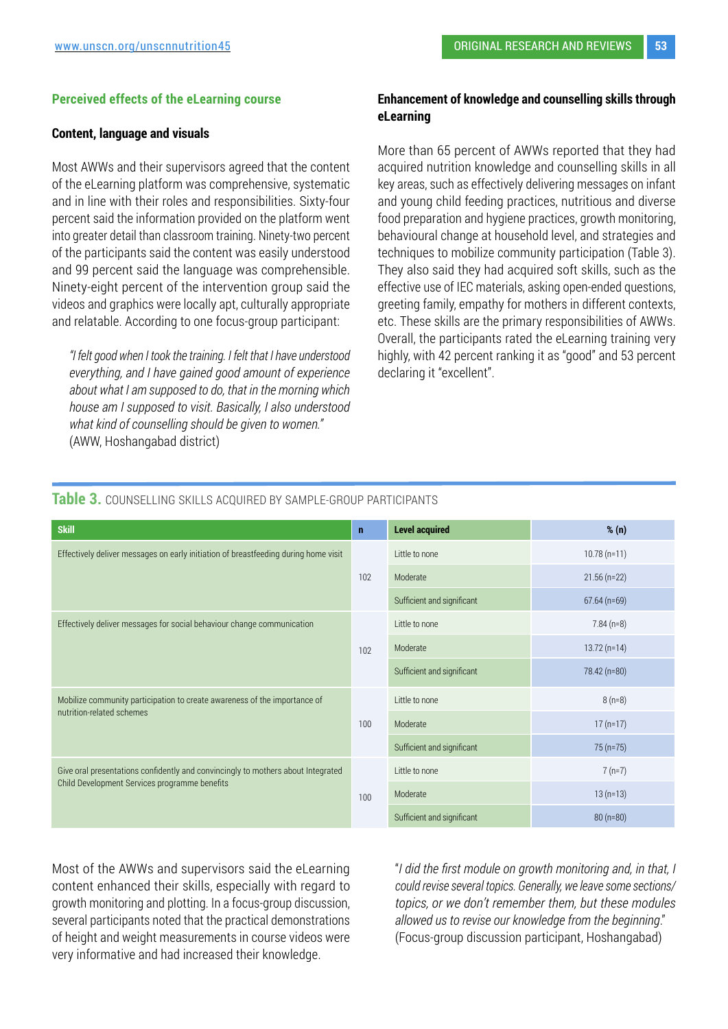#### **Perceived effects of the eLearning course**

#### **Content, language and visuals**

Most AWWs and their supervisors agreed that the content of the eLearning platform was comprehensive, systematic and in line with their roles and responsibilities. Sixty-four percent said the information provided on the platform went into greater detail than classroom training. Ninety-two percent of the participants said the content was easily understood and 99 percent said the language was comprehensible. Ninety-eight percent of the intervention group said the videos and graphics were locally apt, culturally appropriate and relatable. According to one focus-group participant:

*"I felt good when I took the training. I felt that I have understood everything, and I have gained good amount of experience about what I am supposed to do, that in the morning which house am I supposed to visit. Basically, I also understood what kind of counselling should be given to women."* (AWW, Hoshangabad district)

### **Enhancement of knowledge and counselling skills through eLearning**

More than 65 percent of AWWs reported that they had acquired nutrition knowledge and counselling skills in all key areas, such as effectively delivering messages on infant and young child feeding practices, nutritious and diverse food preparation and hygiene practices, growth monitoring, behavioural change at household level, and strategies and techniques to mobilize community participation (Table 3). They also said they had acquired soft skills, such as the effective use of IEC materials, asking open-ended questions, greeting family, empathy for mothers in different contexts, etc. These skills are the primary responsibilities of AWWs. Overall, the participants rated the eLearning training very highly, with 42 percent ranking it as "good" and 53 percent declaring it "excellent".

| <b>Skill</b>                                                                                                                      | $\mathbf{n}$ | <b>Level acquired</b>      | % (n)         |
|-----------------------------------------------------------------------------------------------------------------------------------|--------------|----------------------------|---------------|
| Effectively deliver messages on early initiation of breastfeeding during home visit                                               |              | Little to none             | $10.78(n=11)$ |
|                                                                                                                                   | 102          | Moderate                   | $21.56(n=22)$ |
|                                                                                                                                   |              | Sufficient and significant | $67.64(n=69)$ |
| Effectively deliver messages for social behaviour change communication                                                            | 102          | Little to none             | $7.84(n=8)$   |
|                                                                                                                                   |              | Moderate                   | $13.72(n=14)$ |
|                                                                                                                                   |              | Sufficient and significant | 78.42 (n=80)  |
| Mobilize community participation to create awareness of the importance of                                                         | 100          | Little to none             | $8(n=8)$      |
| nutrition-related schemes                                                                                                         |              | Moderate                   | $17(n=17)$    |
|                                                                                                                                   |              | Sufficient and significant | $75(n=75)$    |
| Give oral presentations confidently and convincingly to mothers about Integrated<br>Child Development Services programme benefits | 100          | Little to none             | $7(n=7)$      |
|                                                                                                                                   |              | Moderate                   | $13(n=13)$    |
|                                                                                                                                   |              | Sufficient and significant | $80(n=80)$    |

## **Table 3.** COUNSELLING SKILLS ACQUIRED BY SAMPLE-GROUP PARTICIPANTS

Most of the AWWs and supervisors said the eLearning content enhanced their skills, especially with regard to growth monitoring and plotting. In a focus-group discussion, several participants noted that the practical demonstrations of height and weight measurements in course videos were very informative and had increased their knowledge.

"*I did the first module on growth monitoring and, in that, I could revise several topics. Generally, we leave some sections/ topics, or we don't remember them, but these modules allowed us to revise our knowledge from the beginning*." (Focus-group discussion participant, Hoshangabad)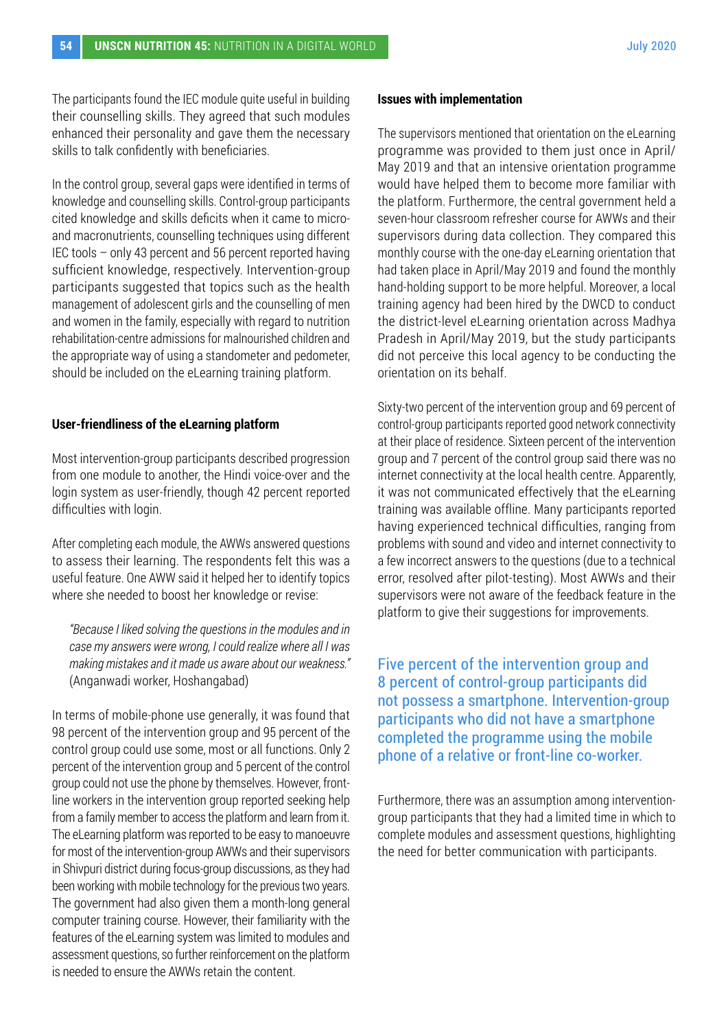The participants found the IEC module quite useful in building their counselling skills. They agreed that such modules enhanced their personality and gave them the necessary skills to talk confidently with beneficiaries.

In the control group, several gaps were identified in terms of knowledge and counselling skills. Control-group participants cited knowledge and skills deficits when it came to microand macronutrients, counselling techniques using different IEC tools – only 43 percent and 56 percent reported having sufficient knowledge, respectively. Intervention-group participants suggested that topics such as the health management of adolescent girls and the counselling of men and women in the family, especially with regard to nutrition rehabilitation-centre admissions for malnourished children and the appropriate way of using a standometer and pedometer, should be included on the eLearning training platform.

#### **User-friendliness of the eLearning platform**

Most intervention-group participants described progression from one module to another, the Hindi voice-over and the login system as user-friendly, though 42 percent reported difficulties with login.

After completing each module, the AWWs answered questions to assess their learning. The respondents felt this was a useful feature. One AWW said it helped her to identify topics where she needed to boost her knowledge or revise:

*"Because I liked solving the questions in the modules and in case my answers were wrong, I could realize where all I was making mistakes and it made us aware about our weakness."*  (Anganwadi worker, Hoshangabad)

In terms of mobile-phone use generally, it was found that 98 percent of the intervention group and 95 percent of the control group could use some, most or all functions. Only 2 percent of the intervention group and 5 percent of the control group could not use the phone by themselves. However, frontline workers in the intervention group reported seeking help from a family member to access the platform and learn from it. The eLearning platform was reported to be easy to manoeuvre for most of the intervention-group AWWs and their supervisors in Shivpuri district during focus-group discussions, as they had been working with mobile technology for the previous two years. The government had also given them a month-long general computer training course. However, their familiarity with the features of the eLearning system was limited to modules and assessment questions, so further reinforcement on the platform is needed to ensure the AWWs retain the content.

#### **Issues with implementation**

The supervisors mentioned that orientation on the eLearning programme was provided to them just once in April/ May 2019 and that an intensive orientation programme would have helped them to become more familiar with the platform. Furthermore, the central government held a seven-hour classroom refresher course for AWWs and their supervisors during data collection. They compared this monthly course with the one-day eLearning orientation that had taken place in April/May 2019 and found the monthly hand-holding support to be more helpful. Moreover, a local training agency had been hired by the DWCD to conduct the district-level eLearning orientation across Madhya Pradesh in April/May 2019, but the study participants did not perceive this local agency to be conducting the orientation on its behalf.

Sixty-two percent of the intervention group and 69 percent of control-group participants reported good network connectivity at their place of residence. Sixteen percent of the intervention group and 7 percent of the control group said there was no internet connectivity at the local health centre. Apparently, it was not communicated effectively that the eLearning training was available offline. Many participants reported having experienced technical difficulties, ranging from problems with sound and video and internet connectivity to a few incorrect answers to the questions (due to a technical error, resolved after pilot-testing). Most AWWs and their supervisors were not aware of the feedback feature in the platform to give their suggestions for improvements.

Five percent of the intervention group and 8 percent of control-group participants did not possess a smartphone. Intervention-group participants who did not have a smartphone completed the programme using the mobile phone of a relative or front-line co-worker.

Furthermore, there was an assumption among interventiongroup participants that they had a limited time in which to complete modules and assessment questions, highlighting the need for better communication with participants.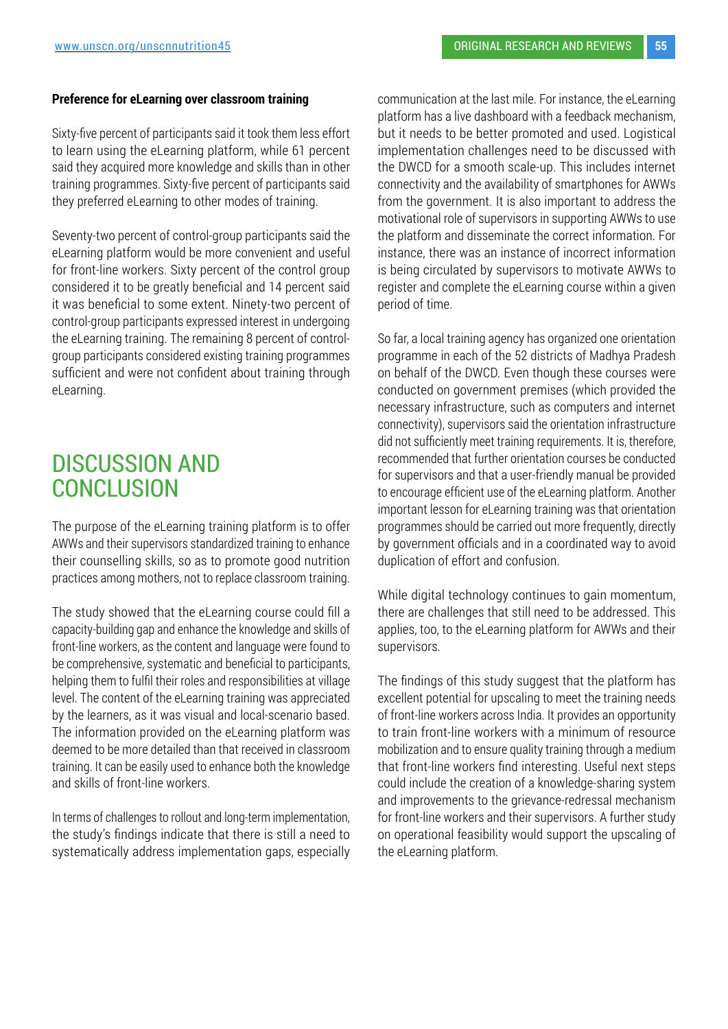#### **Preference for eLearning over classroom training**

Sixty-five percent of participants said it took them less effort to learn using the eLearning platform, while 61 percent said they acquired more knowledge and skills than in other training programmes. Sixty-five percent of participants said they preferred eLearning to other modes of training.

Seventy-two percent of control-group participants said the eLearning platform would be more convenient and useful for front-line workers. Sixty percent of the control group considered it to be greatly beneficial and 14 percent said it was beneficial to some extent. Ninety-two percent of control-group participants expressed interest in undergoing the eLearning training. The remaining 8 percent of controlgroup participants considered existing training programmes sufficient and were not confident about training through eLearning.

## DISCUSSION AND **CONCLUSION**

The purpose of the eLearning training platform is to offer AWWs and their supervisors standardized training to enhance their counselling skills, so as to promote good nutrition practices among mothers, not to replace classroom training.

The study showed that the eLearning course could fill a capacity-building gap and enhance the knowledge and skills of front-line workers, as the content and language were found to be comprehensive, systematic and beneficial to participants, helping them to fulfil their roles and responsibilities at village level. The content of the eLearning training was appreciated by the learners, as it was visual and local-scenario based. The information provided on the eLearning platform was deemed to be more detailed than that received in classroom training. It can be easily used to enhance both the knowledge and skills of front-line workers.

In terms of challenges to rollout and long-term implementation, the study's findings indicate that there is still a need to systematically address implementation gaps, especially communication at the last mile. For instance, the eLearning platform has a live dashboard with a feedback mechanism, but it needs to be better promoted and used. Logistical implementation challenges need to be discussed with the DWCD for a smooth scale-up. This includes internet connectivity and the availability of smartphones for AWWs from the government. It is also important to address the motivational role of supervisors in supporting AWWs to use the platform and disseminate the correct information. For instance, there was an instance of incorrect information is being circulated by supervisors to motivate AWWs to register and complete the eLearning course within a given period of time.

So far, a local training agency has organized one orientation programme in each of the 52 districts of Madhya Pradesh on behalf of the DWCD. Even though these courses were conducted on government premises (which provided the necessary infrastructure, such as computers and internet connectivity), supervisors said the orientation infrastructure did not sufficiently meet training requirements. It is, therefore, recommended that further orientation courses be conducted for supervisors and that a user-friendly manual be provided to encourage efficient use of the eLearning platform. Another important lesson for eLearning training was that orientation programmes should be carried out more frequently, directly by government officials and in a coordinated way to avoid duplication of effort and confusion.

While digital technology continues to gain momentum, there are challenges that still need to be addressed. This applies, too, to the eLearning platform for AWWs and their supervisors.

The findings of this study suggest that the platform has excellent potential for upscaling to meet the training needs of front-line workers across India. It provides an opportunity to train front-line workers with a minimum of resource mobilization and to ensure quality training through a medium that front-line workers find interesting. Useful next steps could include the creation of a knowledge-sharing system and improvements to the grievance-redressal mechanism for front-line workers and their supervisors. A further study on operational feasibility would support the upscaling of the eLearning platform.